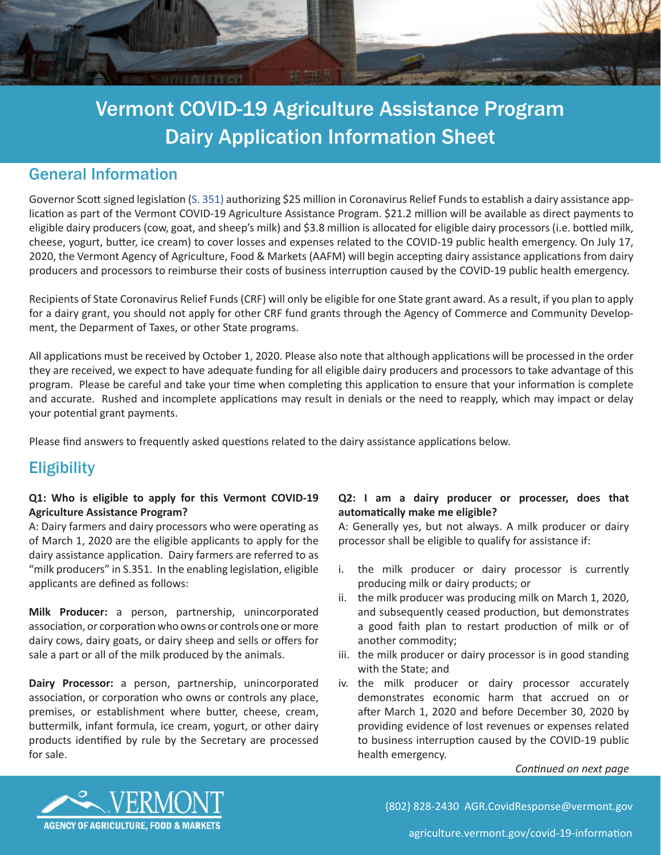

# General Information

Governor Scott signed legislation ([S. 351\)](https://legislature.vermont.gov/Documents/2020/Docs/JOURNAL/sj200626) authorizing \$25 million in Coronavirus Relief Funds to establish a dairy assistance application as part of the Vermont COVID-19 Agriculture Assistance Program. \$21.2 million will be available as direct payments to eligible dairy producers (cow, goat, and sheep's milk) and \$3.8 million is allocated for eligible dairy processors (i.e. bottled milk, cheese, yogurt, butter, ice cream) to cover losses and expenses related to the COVID-19 public health emergency. On July 17, 2020, the Vermont Agency of Agriculture, Food & Markets (AAFM) will begin accepting dairy assistance applications from dairy producers and processors to reimburse their costs of business interruption caused by the COVID-19 public health emergency.

Recipients of State Coronavirus Relief Funds (CRF) will only be eligible for one State grant award. As a result, if you plan to apply for a dairy grant, you should not apply for other CRF fund grants through the Agency of Commerce and Community Development, the Deparment of Taxes, or other State programs.

All applications must be received by October 1, 2020. Please also note that although applications will be processed in the order they are received, we expect to have adequate funding for all eligible dairy producers and processors to take advantage of this program. Please be careful and take your time when completing this application to ensure that your information is complete and accurate. Rushed and incomplete applications may result in denials or the need to reapply, which may impact or delay your potential grant payments.

Please find answers to frequently asked questions related to the dairy assistance applications below.

# **Eligibility**

# **Q1: Who is eligible to apply for this Vermont COVID-19 Agriculture Assistance Program?**

A: Dairy farmers and dairy processors who were operating as of March 1, 2020 are the eligible applicants to apply for the dairy assistance application. Dairy farmers are referred to as "milk producers" in S.351. In the enabling legislation, eligible applicants are defined as follows:

**Milk Producer:** a person, partnership, unincorporated association, or corporation who owns or controls one or more dairy cows, dairy goats, or dairy sheep and sells or offers for sale a part or all of the milk produced by the animals.

**Dairy Processor:** a person, partnership, unincorporated association, or corporation who owns or controls any place, premises, or establishment where butter, cheese, cream, buttermilk, infant formula, ice cream, yogurt, or other dairy products identified by rule by the Secretary are processed for sale.

## **Q2: I am a dairy producer or processer, does that automatically make me eligible?**

A: Generally yes, but not always. A milk producer or dairy processor shall be eligible to qualify for assistance if:

- i. the milk producer or dairy processor is currently producing milk or dairy products; or
- ii. the milk producer was producing milk on March 1, 2020, and subsequently ceased production, but demonstrates a good faith plan to restart production of milk or of another commodity;
- iii. the milk producer or dairy processor is in good standing with the State; and
- iv. the milk producer or dairy processor accurately demonstrates economic harm that accrued on or after March 1, 2020 and before December 30, 2020 by providing evidence of lost revenues or expenses related to business interruption caused by the COVID-19 public health emergency.

#### *Continued on next page*



(802) 828-2430 [AGR.CovidResponse@vermont.gov](mailto:agr.COVIDresponse%40vermont.gov?subject=)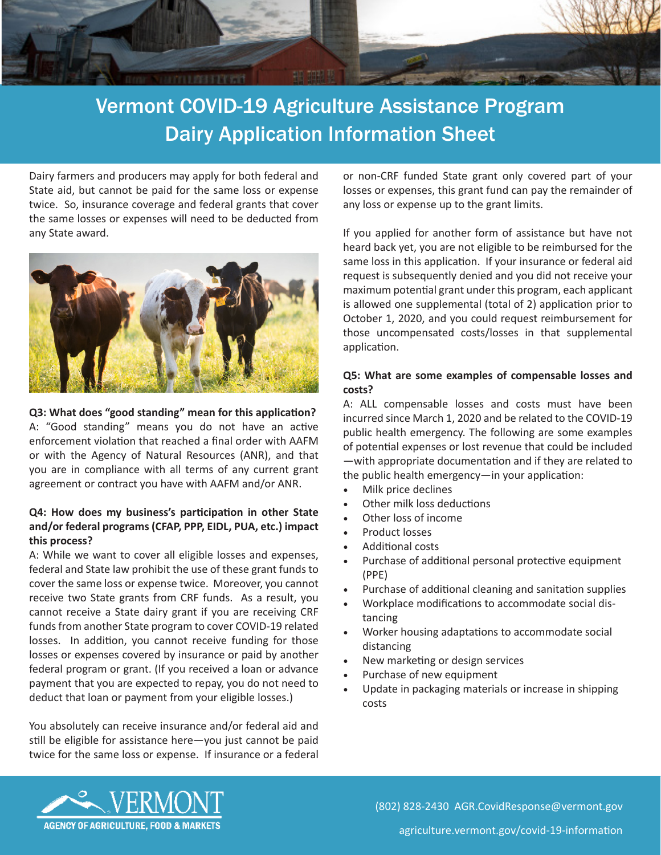

Dairy farmers and producers may apply for both federal and State aid, but cannot be paid for the same loss or expense twice. So, insurance coverage and federal grants that cover the same losses or expenses will need to be deducted from any State award.



**Q3: What does "good standing" mean for this application?** A: "Good standing" means you do not have an active enforcement violation that reached a final order with AAFM or with the Agency of Natural Resources (ANR), and that you are in compliance with all terms of any current grant agreement or contract you have with AAFM and/or ANR.

# **Q4: How does my business's participation in other State and/or federal programs (CFAP, PPP, EIDL, PUA, etc.) impact this process?**

A: While we want to cover all eligible losses and expenses, federal and State law prohibit the use of these grant funds to cover the same loss or expense twice. Moreover, you cannot receive two State grants from CRF funds. As a result, you cannot receive a State dairy grant if you are receiving CRF funds from another State program to cover COVID-19 related losses. In addition, you cannot receive funding for those losses or expenses covered by insurance or paid by another federal program or grant. (If you received a loan or advance payment that you are expected to repay, you do not need to deduct that loan or payment from your eligible losses.)

You absolutely can receive insurance and/or federal aid and still be eligible for assistance here—you just cannot be paid twice for the same loss or expense. If insurance or a federal or non-CRF funded State grant only covered part of your losses or expenses, this grant fund can pay the remainder of any loss or expense up to the grant limits.

If you applied for another form of assistance but have not heard back yet, you are not eligible to be reimbursed for the same loss in this application. If your insurance or federal aid request is subsequently denied and you did not receive your maximum potential grant under this program, each applicant is allowed one supplemental (total of 2) application prior to October 1, 2020, and you could request reimbursement for those uncompensated costs/losses in that supplemental application.

## **Q5: What are some examples of compensable losses and costs?**

A: ALL compensable losses and costs must have been incurred since March 1, 2020 and be related to the COVID-19 public health emergency. The following are some examples of potential expenses or lost revenue that could be included —with appropriate documentation and if they are related to the public health emergency—in your application:

- Milk price declines
- Other milk loss deductions
- Other loss of income
- Product losses
- Additional costs
- Purchase of additional personal protective equipment (PPE)
- Purchase of additional cleaning and sanitation supplies
- Workplace modifications to accommodate social distancing
- Worker housing adaptations to accommodate social distancing
- New marketing or design services
- Purchase of new equipment
- Update in packaging materials or increase in shipping costs



[agriculture.vermont.gov/covid-19-information](http://agriculture.vermont.gov/covid-19-information)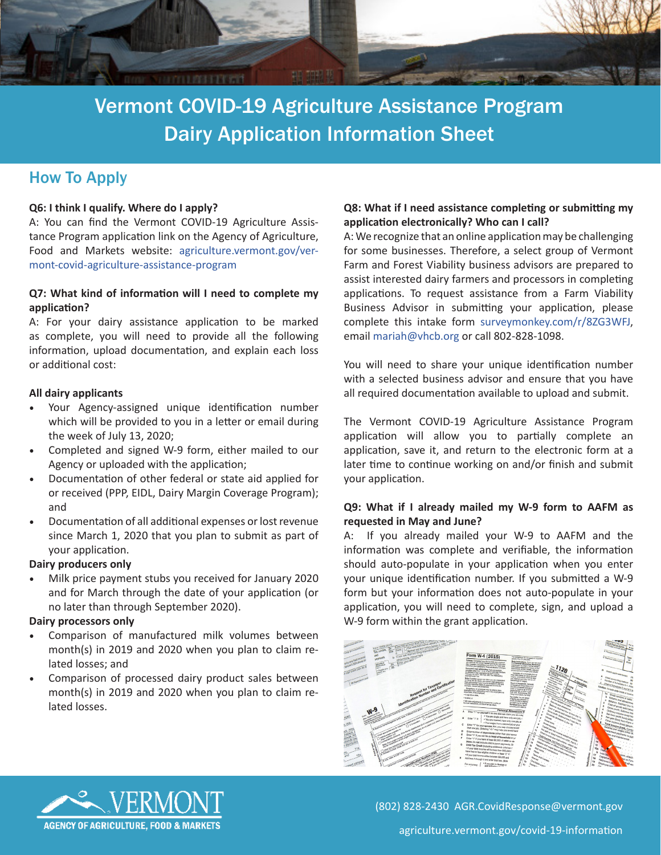

# How To Apply

#### **Q6: I think I qualify. Where do I apply?**

A: You can find the Vermont COVID-19 Agriculture Assistance Program application link on the Agency of Agriculture, Food and Markets website: [agriculture.vermont.gov/ver](http://agriculture.vermont.gov/vermont-covid-agriculture-assistance-program)[mont-covid-agriculture-assistance-program](http://agriculture.vermont.gov/vermont-covid-agriculture-assistance-program)

#### **Q7: What kind of information will I need to complete my application?**

A: For your dairy assistance application to be marked as complete, you will need to provide all the following information, upload documentation, and explain each loss or additional cost:

#### **All dairy applicants**

- Your Agency-assigned unique identification number which will be provided to you in a letter or email during the week of July 13, 2020;
- Completed and signed W-9 form, either mailed to our Agency or uploaded with the application;
- Documentation of other federal or state aid applied for or received (PPP, EIDL, Dairy Margin Coverage Program); and
- Documentation of all additional expenses or lost revenue since March 1, 2020 that you plan to submit as part of your application.

#### **Dairy producers only**

• Milk price payment stubs you received for January 2020 and for March through the date of your application (or no later than through September 2020).

#### **Dairy processors only**

- Comparison of manufactured milk volumes between month(s) in 2019 and 2020 when you plan to claim related losses; and
- Comparison of processed dairy product sales between month(s) in 2019 and 2020 when you plan to claim related losses.

# **Q8: What if I need assistance completing or submitting my application electronically? Who can I call?**

A: We recognize that an online application may be challenging for some businesses. Therefore, a select group of Vermont Farm and Forest Viability business advisors are prepared to assist interested dairy farmers and processors in completing applications. To request assistance from a Farm Viability Business Advisor in submitting your application, please complete this intake form [surveymonkey.com/r/8ZG3WFJ](http://surveymonkey.com/r/8ZG3WFJ), email [mariah@vhcb.org](mailto:mariah%40vhcb.org?subject=Vermont%20COVID-19%20Dairy%20Assistance%20Application) or call 802-828-1098.

You will need to share your unique identification number with a selected business advisor and ensure that you have all required documentation available to upload and submit.

The Vermont COVID-19 Agriculture Assistance Program application will allow you to partially complete an application, save it, and return to the electronic form at a later time to continue working on and/or finish and submit your application.

### **Q9: What if I already mailed my W-9 form to AAFM as requested in May and June?**

A: If you already mailed your W-9 to AAFM and the information was complete and verifiable, the information should auto-populate in your application when you enter your unique identification number. If you submitted a W-9 form but your information does not auto-populate in your application, you will need to complete, sign, and upload a W-9 form within the grant application.





(802) 828-2430 [AGR.CovidResponse@vermont.gov](mailto:AGR.CovidResponse%40vermont.gov?subject=) [agriculture.vermont.gov/covid-19-information](http://agriculture.vermont.gov/covid-19-information)